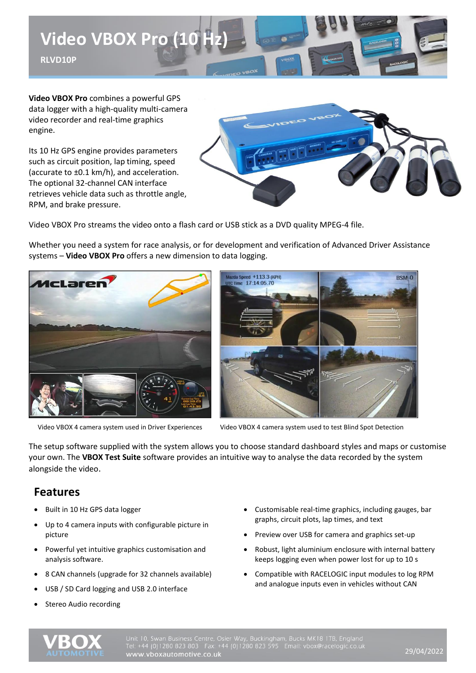

**Video VBOX Pro** combines a powerful GPS data logger with a high-quality multi-camera video recorder and real-time graphics engine.

Its 10 Hz GPS engine provides parameters such as circuit position, lap timing, speed (accurate to ±0.1 km/h), and acceleration. The optional 32-channel CAN interface retrieves vehicle data such as throttle angle, RPM, and brake pressure.



Video VBOX Pro streams the video onto a flash card or USB stick as a DVD quality MPEG-4 file.

Whether you need a system for race analysis, or for development and verification of Advanced Driver Assistance systems – **Video VBOX Pro** offers a new dimension to data logging.





Video VBOX 4 camera system used in Driver Experiences Video VBOX 4 camera system used to test Blind Spot Detection

The setup software supplied with the system allows you to choose standard dashboard styles and maps or customise your own. The **VBOX Test Suite** software provides an intuitive way to analyse the data recorded by the system alongside the video.

### **Features**

- Built in 10 Hz GPS data logger
- Up to 4 camera inputs with configurable picture in picture
- Powerful yet intuitive graphics customisation and analysis software.
- 8 CAN channels (upgrade for 32 channels available)
- USB / SD Card logging and USB 2.0 interface
- Stereo Audio recording
- Customisable real-time graphics, including gauges, bar graphs, circuit plots, lap times, and text
- Preview over USB for camera and graphics set-up
- Robust, light aluminium enclosure with internal battery keeps logging even when power lost for up to 10 s
- Compatible with RACELOGIC input modules to log RPM and analogue inputs even in vehicles without CAN



Unit 10, Swan Business Centre, Osier Way, Buckingham, Bucks MK18 1TB, England<br>Tel: +44 (0)1280 823 803 Fax: +44 (0)1280 823 595 Email: vbox@racelogic.co.uk<br>**www.vboxautomotive.co.uk**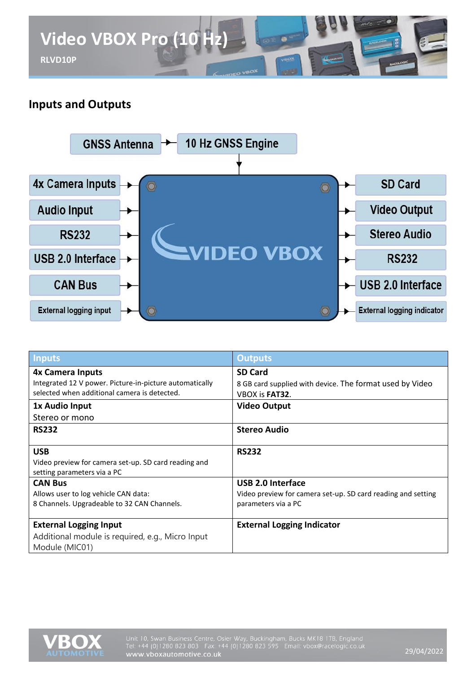

### **Inputs and Outputs**



| <b>Inputs</b>                                                                                           | <b>Outputs</b>                                               |
|---------------------------------------------------------------------------------------------------------|--------------------------------------------------------------|
| <b>4x Camera Inputs</b>                                                                                 | <b>SD Card</b>                                               |
| Integrated 12 V power. Picture-in-picture automatically<br>selected when additional camera is detected. | 8 GB card supplied with device. The format used by Video     |
|                                                                                                         | VBOX is <b>FAT32</b> .                                       |
| 1x Audio Input                                                                                          | <b>Video Output</b>                                          |
| Stereo or mono                                                                                          |                                                              |
| <b>RS232</b>                                                                                            | <b>Stereo Audio</b>                                          |
|                                                                                                         |                                                              |
| <b>USB</b>                                                                                              | <b>RS232</b>                                                 |
| Video preview for camera set-up. SD card reading and                                                    |                                                              |
| setting parameters via a PC                                                                             |                                                              |
| <b>CAN Bus</b>                                                                                          | <b>USB 2.0 Interface</b>                                     |
| Allows user to log vehicle CAN data:                                                                    | Video preview for camera set-up. SD card reading and setting |
| 8 Channels. Upgradeable to 32 CAN Channels.                                                             | parameters via a PC                                          |
|                                                                                                         |                                                              |
| <b>External Logging Input</b>                                                                           | <b>External Logging Indicator</b>                            |
| Additional module is required, e.g., Micro Input                                                        |                                                              |
| Module (MIC01)                                                                                          |                                                              |



Unit 10, Swan Business Centre, Osier Way, Buckingham, Bucks MK18 1TB, England Tel: +44 (0)1280 823 803 Fax: +44 (0)1280 823 595 Email: vbox@racelogic.co.uk<br>WWW.vboxautomotive.co.uk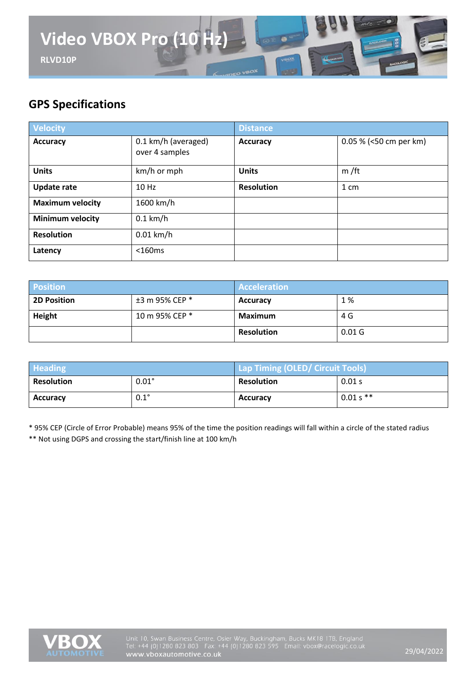

# **GPS Specifications**

| <b>Velocity</b>         |                                       | <b>Distance</b>   |                          |
|-------------------------|---------------------------------------|-------------------|--------------------------|
| <b>Accuracy</b>         | 0.1 km/h (averaged)<br>over 4 samples | <b>Accuracy</b>   | $0.05$ % (<50 cm per km) |
| <b>Units</b>            | km/h or mph                           | <b>Units</b>      | $m$ /ft                  |
| <b>Update rate</b>      | 10Hz                                  | <b>Resolution</b> | $1 \text{ cm}$           |
| <b>Maximum velocity</b> | 1600 km/h                             |                   |                          |
| <b>Minimum velocity</b> | $0.1$ km/h                            |                   |                          |
| <b>Resolution</b>       | $0.01$ km/h                           |                   |                          |
| Latency                 | $<$ 160 $ms$                          |                   |                          |

| <b>Position</b>    |                | <b>Acceleration</b> |                   |
|--------------------|----------------|---------------------|-------------------|
| <b>2D Position</b> | ±3 m 95% CEP * | <b>Accuracy</b>     | 1%                |
| Height             | 10 m 95% CEP * | Maximum             | 4 G               |
|                    |                | <b>Resolution</b>   | 0.01 <sub>G</sub> |

| <b>Heading</b>    |              | Lap Timing (OLED/ Circuit Tools) |             |
|-------------------|--------------|----------------------------------|-------------|
| <b>Resolution</b> | $0.01^\circ$ | <b>Resolution</b>                | 0.01 s      |
| <b>Accuracy</b>   | $0.1^\circ$  | <b>Accuracy</b>                  | $0.01 s$ ** |

\* 95% CEP (Circle of Error Probable) means 95% of the time the position readings will fall within a circle of the stated radius

\*\* Not using DGPS and crossing the start/finish line at 100 km/h

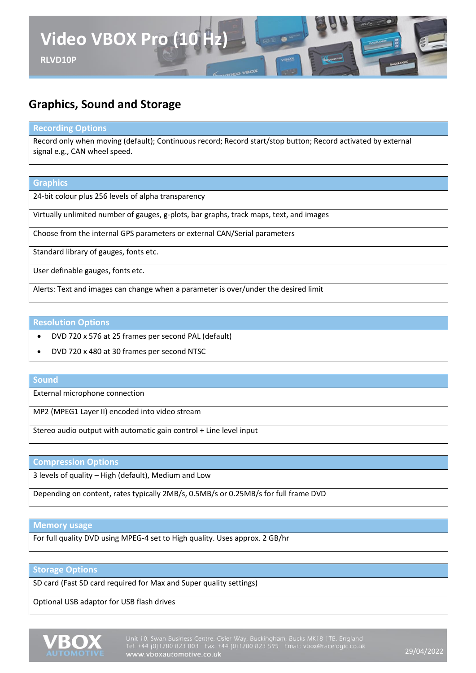

### **Graphics, Sound and Storage**

#### **Recording Options**

Record only when moving (default); Continuous record; Record start/stop button; Record activated by external signal e.g., CAN wheel speed.

#### **Graphics**

24-bit colour plus 256 levels of alpha transparency

Virtually unlimited number of gauges, g-plots, bar graphs, track maps, text, and images

Choose from the internal GPS parameters or external CAN/Serial parameters

Standard library of gauges, fonts etc.

User definable gauges, fonts etc.

Alerts: Text and images can change when a parameter is over/under the desired limit

#### **Resolution Options**

- DVD 720 x 576 at 25 frames per second PAL (default)
- DVD 720 x 480 at 30 frames per second NTSC

#### **Sound**

External microphone connection

MP2 (MPEG1 Layer II) encoded into video stream

Stereo audio output with automatic gain control + Line level input

#### **Compression Options**

3 levels of quality – High (default), Medium and Low

Depending on content, rates typically 2MB/s, 0.5MB/s or 0.25MB/s for full frame DVD

#### **Memory usage**

For full quality DVD using MPEG-4 set to High quality. Uses approx. 2 GB/hr

#### **Storage Options**

SD card (Fast SD card required for Max and Super quality settings)

Optional USB adaptor for USB flash drives



Unit 10, Swan Business Centre, Osier Way, Buckingham, Bucks MK18 1TB, England<br>Tel: +44 (0)1280 823 803 Fax: +44 (0)1280 823 595 Email: vbox@racelogic.co.uk<br>**www.vboxautomotive.co.uk**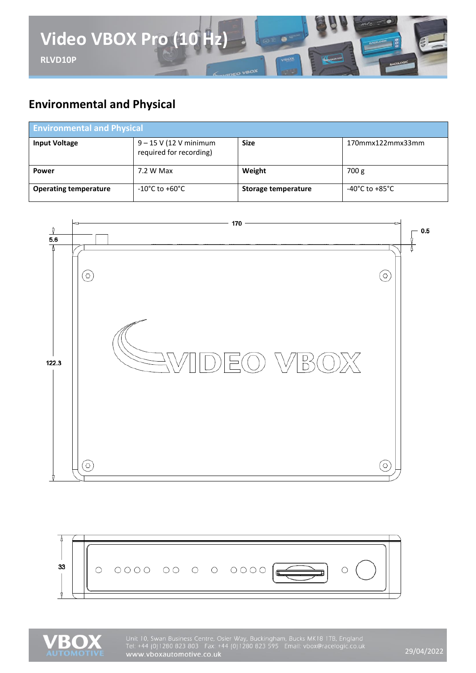

# **Environmental and Physical**

| <b>Environmental and Physical</b> |                                                   |                     |                  |
|-----------------------------------|---------------------------------------------------|---------------------|------------------|
| <b>Input Voltage</b>              | 9 – 15 V (12 V minimum<br>required for recording) | <b>Size</b>         | 170mmx122mmx33mm |
| <b>Power</b>                      | 7.2 W Max                                         | Weight              | 700 g            |
| <b>Operating temperature</b>      | $-10^{\circ}$ C to $+60^{\circ}$ C                | Storage temperature | -40°C to +85°C   |







Unit 10, Swan Business Centre, Osier Way, Buckingham, Bucks MK18 1TB, England Tel: +44 (0)1280 823 803 Fax: +44 (0)1280 823 595 Email: vbox@racelogic.co.uk<br>WWW.vboxautomotive.co.uk